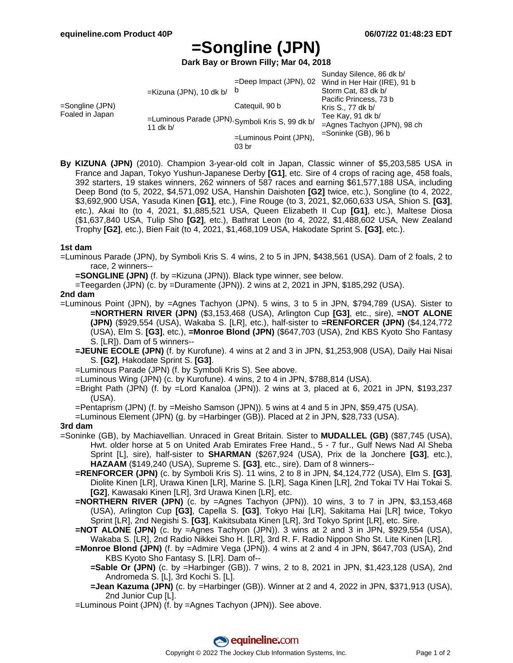# **=Songline (JPN)**

**Dark Bay or Brown Filly; Mar 04, 2018**

|                                    | $=$ Kizuna (JPN), 10 dk b/                                     | $=$ Deep Impact (JPN), 02<br>b | Sunday Silence, 86 dk b/<br>Wind in Her Hair (IRE), 91 b<br>Storm Cat, 83 dk b/                                           |
|------------------------------------|----------------------------------------------------------------|--------------------------------|---------------------------------------------------------------------------------------------------------------------------|
| =Songline (JPN)<br>Foaled in Japan | =Luminous Parade (JPN), Symboli Kris S, 99 dk b/<br>11 $dk b/$ | Categuil, 90 b                 | Pacific Princess, 73 b<br>Kris S., 77 dk b/<br>Tee Kay, 91 dk b/<br>=Agnes Tachyon (JPN), 98 ch<br>$=$ Soninke (GB), 96 b |
|                                    |                                                                | $=$ Luminous Point (JPN),      |                                                                                                                           |
|                                    |                                                                | 03 <sub>br</sub>               |                                                                                                                           |

**By KIZUNA (JPN)** (2010). Champion 3-year-old colt in Japan, Classic winner of \$5,203,585 USA in France and Japan, Tokyo Yushun-Japanese Derby **[G1]**, etc. Sire of 4 crops of racing age, 458 foals, 392 starters, 19 stakes winners, 262 winners of 587 races and earning \$61,577,188 USA, including Deep Bond (to 5, 2022, \$4,571,092 USA, Hanshin Daishoten **[G2]** twice, etc.), Songline (to 4, 2022, \$3,692,900 USA, Yasuda Kinen **[G1]**, etc.), Fine Rouge (to 3, 2021, \$2,060,633 USA, Shion S. **[G3]**, etc.), Akai Ito (to 4, 2021, \$1,885,521 USA, Queen Elizabeth II Cup **[G1]**, etc.), Maltese Diosa (\$1,637,840 USA, Tulip Sho **[G2]**, etc.), Bathrat Leon (to 4, 2022, \$1,488,602 USA, New Zealand Trophy **[G2]**, etc.), Bien Fait (to 4, 2021, \$1,468,109 USA, Hakodate Sprint S. **[G3]**, etc.).

### **1st dam**

- =Luminous Parade (JPN), by Symboli Kris S. 4 wins, 2 to 5 in JPN, \$438,561 (USA). Dam of 2 foals, 2 to race, 2 winners--
	- **=SONGLINE (JPN)** (f. by =Kizuna (JPN)). Black type winner, see below.

=Teegarden (JPN) (c. by =Duramente (JPN)). 2 wins at 2, 2021 in JPN, \$185,292 (USA).

### **2nd dam**

- =Luminous Point (JPN), by =Agnes Tachyon (JPN). 5 wins, 3 to 5 in JPN, \$794,789 (USA). Sister to **=NORTHERN RIVER (JPN)** (\$3,153,468 (USA), Arlington Cup **[G3]**, etc., sire), **=NOT ALONE (JPN)** (\$929,554 (USA), Wakaba S. [LR], etc.), half-sister to **=RENFORCER (JPN)** (\$4,124,772 (USA), Elm S. **[G3]**, etc.), **=Monroe Blond (JPN)** (\$647,703 (USA), 2nd KBS Kyoto Sho Fantasy S. [LR]). Dam of 5 winners--
	- **=JEUNE ECOLE (JPN)** (f. by Kurofune). 4 wins at 2 and 3 in JPN, \$1,253,908 (USA), Daily Hai Nisai S. **[G2]**, Hakodate Sprint S. **[G3]**.
	- =Luminous Parade (JPN) (f. by Symboli Kris S). See above.
	- =Luminous Wing (JPN) (c. by Kurofune). 4 wins, 2 to 4 in JPN, \$788,814 (USA).
	- =Bright Path (JPN) (f. by =Lord Kanaloa (JPN)). 2 wins at 3, placed at 6, 2021 in JPN, \$193,237 (USA).
	- =Pentaprism (JPN) (f. by =Meisho Samson (JPN)). 5 wins at 4 and 5 in JPN, \$59,475 (USA).
	- =Luminous Element (JPN) (g. by =Harbinger (GB)). Placed at 2 in JPN, \$28,733 (USA).

### **3rd dam**

- =Soninke (GB), by Machiavellian. Unraced in Great Britain. Sister to **MUDALLEL (GB)** (\$87,745 (USA), Hwt. older horse at 5 on United Arab Emirates Free Hand., 5 - 7 fur., Gulf News Nad Al Sheba Sprint [L], sire), half-sister to **SHARMAN** (\$267,924 (USA), Prix de la Jonchere **[G3]**, etc.), **HAZAAM** (\$149,240 (USA), Supreme S. **[G3]**, etc., sire). Dam of 8 winners--
	- **=RENFORCER (JPN)** (c. by Symboli Kris S). 11 wins, 2 to 8 in JPN, \$4,124,772 (USA), Elm S. **[G3]**, Diolite Kinen [LR], Urawa Kinen [LR], Marine S. [LR], Saga Kinen [LR], 2nd Tokai TV Hai Tokai S. **[G2]**, Kawasaki Kinen [LR], 3rd Urawa Kinen [LR], etc.
	- **=NORTHERN RIVER (JPN)** (c. by =Agnes Tachyon (JPN)). 10 wins, 3 to 7 in JPN, \$3,153,468 (USA), Arlington Cup **[G3]**, Capella S. **[G3]**, Tokyo Hai [LR], Sakitama Hai [LR] twice, Tokyo Sprint [LR], 2nd Negishi S. **[G3]**, Kakitsubata Kinen [LR], 3rd Tokyo Sprint [LR], etc. Sire.
	- **=NOT ALONE (JPN)** (c. by =Agnes Tachyon (JPN)). 3 wins at 2 and 3 in JPN, \$929,554 (USA), Wakaba S. [LR], 2nd Radio Nikkei Sho H. [LR], 3rd R. F. Radio Nippon Sho St. Lite Kinen [LR].
	- **=Monroe Blond (JPN)** (f. by =Admire Vega (JPN)). 4 wins at 2 and 4 in JPN, \$647,703 (USA), 2nd KBS Kyoto Sho Fantasy S. [LR]. Dam of--
		- **=Sable Or (JPN)** (c. by =Harbinger (GB)). 7 wins, 2 to 8, 2021 in JPN, \$1,423,128 (USA), 2nd Andromeda S. [L], 3rd Kochi S. [L].
		- **=Jean Kazuma (JPN)** (c. by =Harbinger (GB)). Winner at 2 and 4, 2022 in JPN, \$371,913 (USA), 2nd Junior Cup [L].
	- =Luminous Point (JPN) (f. by =Agnes Tachyon (JPN)). See above.